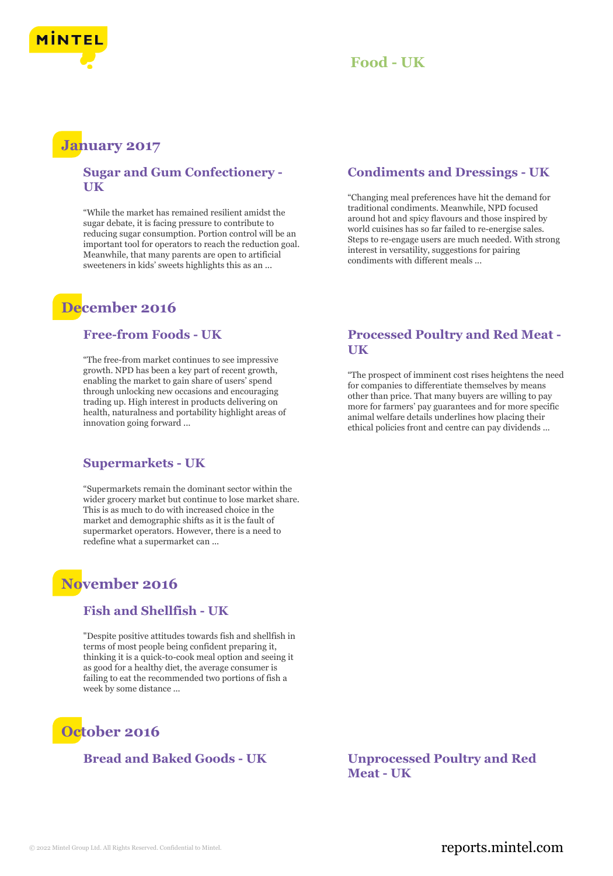



# **January 2017**

### **Sugar and Gum Confectionery - UK**

"While the market has remained resilient amidst the sugar debate, it is facing pressure to contribute to reducing sugar consumption. Portion control will be an important tool for operators to reach the reduction goal. Meanwhile, that many parents are open to artificial sweeteners in kids' sweets highlights this as an ...

# **December 2016**

#### **Free-from Foods - UK**

"The free-from market continues to see impressive growth. NPD has been a key part of recent growth, enabling the market to gain share of users' spend through unlocking new occasions and encouraging trading up. High interest in products delivering on health, naturalness and portability highlight areas of innovation going forward ...

### **Supermarkets - UK**

"Supermarkets remain the dominant sector within the wider grocery market but continue to lose market share. This is as much to do with increased choice in the market and demographic shifts as it is the fault of supermarket operators. However, there is a need to redefine what a supermarket can ...

# **November 2016**

#### **Fish and Shellfish - UK**

"Despite positive attitudes towards fish and shellfish in terms of most people being confident preparing it, thinking it is a quick-to-cook meal option and seeing it as good for a healthy diet, the average consumer is failing to eat the recommended two portions of fish a week by some distance ...



# **Condiments and Dressings - UK**

"Changing meal preferences have hit the demand for traditional condiments. Meanwhile, NPD focused around hot and spicy flavours and those inspired by world cuisines has so far failed to re-energise sales. Steps to re-engage users are much needed. With strong interest in versatility, suggestions for pairing condiments with different meals ...

### **Processed Poultry and Red Meat - UK**

"The prospect of imminent cost rises heightens the need for companies to differentiate themselves by means other than price. That many buyers are willing to pay more for farmers' pay guarantees and for more specific animal welfare details underlines how placing their ethical policies front and centre can pay dividends ...

**Bread and Baked Goods - UK Unprocessed Poultry and Red Meat - UK**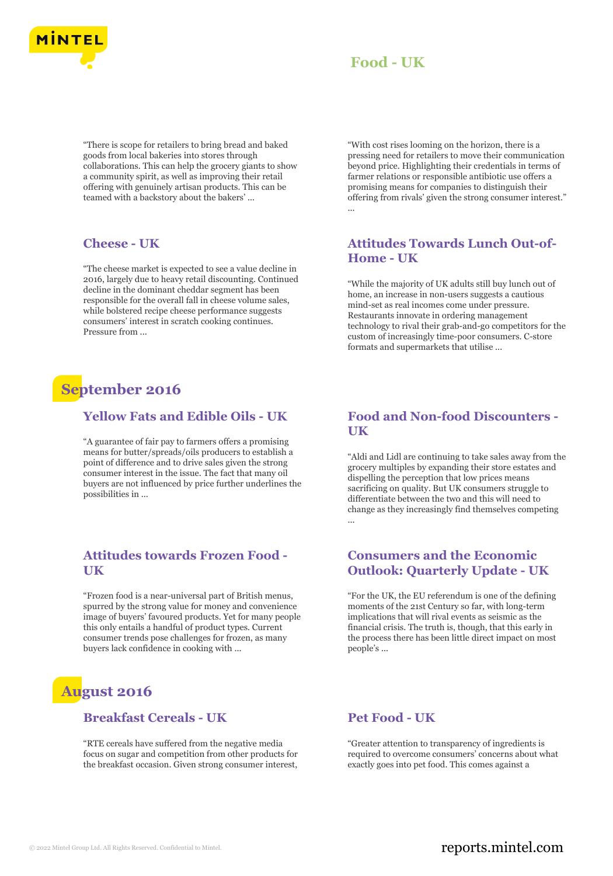

"There is scope for retailers to bring bread and baked goods from local bakeries into stores through collaborations. This can help the grocery giants to show a community spirit, as well as improving their retail offering with genuinely artisan products. This can be teamed with a backstory about the bakers' ...

#### **Cheese - UK**

"The cheese market is expected to see a value decline in 2016, largely due to heavy retail discounting. Continued decline in the dominant cheddar segment has been responsible for the overall fall in cheese volume sales, while bolstered recipe cheese performance suggests consumers' interest in scratch cooking continues. Pressure from ...

# **September 2016**

#### **Yellow Fats and Edible Oils - UK**

"A guarantee of fair pay to farmers offers a promising means for butter/spreads/oils producers to establish a point of difference and to drive sales given the strong consumer interest in the issue. The fact that many oil buyers are not influenced by price further underlines the possibilities in ...

### **Attitudes towards Frozen Food - UK**

"Frozen food is a near-universal part of British menus, spurred by the strong value for money and convenience image of buyers' favoured products. Yet for many people this only entails a handful of product types. Current consumer trends pose challenges for frozen, as many buyers lack confidence in cooking with ...

# **August 2016**

#### **Breakfast Cereals - UK**

"RTE cereals have suffered from the negative media focus on sugar and competition from other products for the breakfast occasion. Given strong consumer interest, "With cost rises looming on the horizon, there is a pressing need for retailers to move their communication beyond price. Highlighting their credentials in terms of farmer relations or responsible antibiotic use offers a promising means for companies to distinguish their offering from rivals' given the strong consumer interest." ...

# **Attitudes Towards Lunch Out-of-Home - UK**

"While the majority of UK adults still buy lunch out of home, an increase in non-users suggests a cautious mind-set as real incomes come under pressure. Restaurants innovate in ordering management technology to rival their grab-and-go competitors for the custom of increasingly time-poor consumers. C-store formats and supermarkets that utilise ...

### **Food and Non-food Discounters - UK**

"Aldi and Lidl are continuing to take sales away from the grocery multiples by expanding their store estates and dispelling the perception that low prices means sacrificing on quality. But UK consumers struggle to differentiate between the two and this will need to change as they increasingly find themselves competing ...

### **Consumers and the Economic Outlook: Quarterly Update - UK**

"For the UK, the EU referendum is one of the defining moments of the 21st Century so far, with long-term implications that will rival events as seismic as the financial crisis. The truth is, though, that this early in the process there has been little direct impact on most people's ...

#### **Pet Food - UK**

"Greater attention to transparency of ingredients is required to overcome consumers' concerns about what exactly goes into pet food. This comes against a

# © 2022 Mintel Group Ltd. All Rights Reserved. Confidential to Mintel.  $\blacksquare$  reports.mintel.com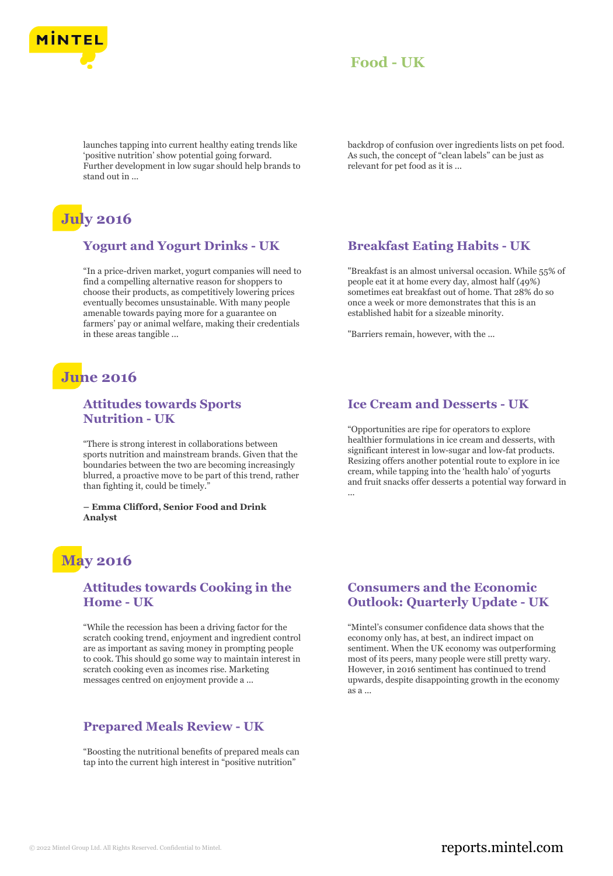

launches tapping into current healthy eating trends like 'positive nutrition' show potential going forward. Further development in low sugar should help brands to stand out in ...

# **July 2016**

# **Yogurt and Yogurt Drinks - UK**

"In a price-driven market, yogurt companies will need to find a compelling alternative reason for shoppers to choose their products, as competitively lowering prices eventually becomes unsustainable. With many people amenable towards paying more for a guarantee on farmers' pay or animal welfare, making their credentials in these areas tangible ...

# **June 2016**

# **Attitudes towards Sports Nutrition - UK**

"There is strong interest in collaborations between sports nutrition and mainstream brands. Given that the boundaries between the two are becoming increasingly blurred, a proactive move to be part of this trend, rather than fighting it, could be timely."

**– Emma Clifford, Senior Food and Drink Analyst**

# **May 2016**

#### **Attitudes towards Cooking in the Home - UK**

"While the recession has been a driving factor for the scratch cooking trend, enjoyment and ingredient control are as important as saving money in prompting people to cook. This should go some way to maintain interest in scratch cooking even as incomes rise. Marketing messages centred on enjoyment provide a ...

### **Prepared Meals Review - UK**

"Boosting the nutritional benefits of prepared meals can tap into the current high interest in "positive nutrition"

backdrop of confusion over ingredients lists on pet food. As such, the concept of "clean labels" can be just as relevant for pet food as it is ...

# **Breakfast Eating Habits - UK**

"Breakfast is an almost universal occasion. While 55% of people eat it at home every day, almost half (49%) sometimes eat breakfast out of home. That 28% do so once a week or more demonstrates that this is an established habit for a sizeable minority.

"Barriers remain, however, with the ...

### **Ice Cream and Desserts - UK**

"Opportunities are ripe for operators to explore healthier formulations in ice cream and desserts, with significant interest in low-sugar and low-fat products. Resizing offers another potential route to explore in ice cream, while tapping into the 'health halo' of yogurts and fruit snacks offer desserts a potential way forward in ...

### **Consumers and the Economic Outlook: Quarterly Update - UK**

"Mintel's consumer confidence data shows that the economy only has, at best, an indirect impact on sentiment. When the UK economy was outperforming most of its peers, many people were still pretty wary. However, in 2016 sentiment has continued to trend upwards, despite disappointing growth in the economy as a ...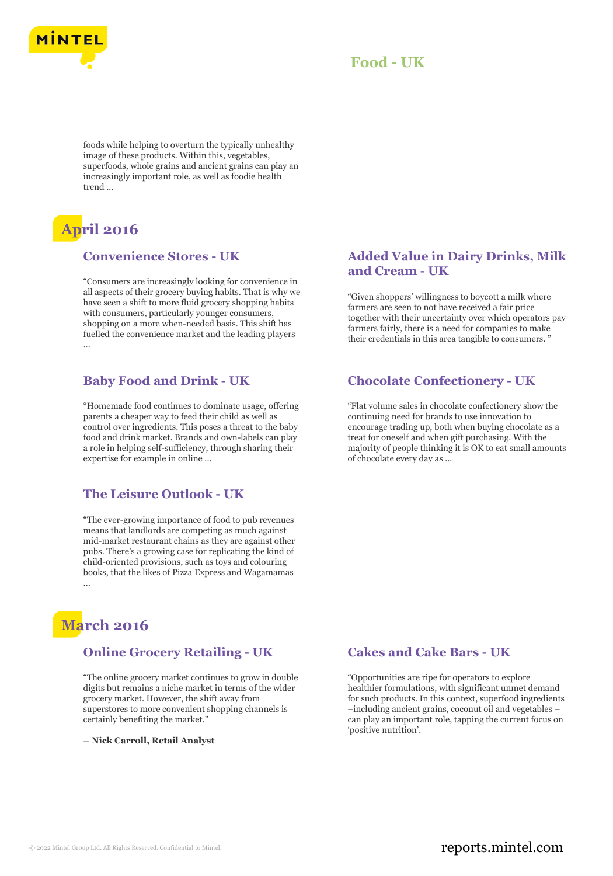

foods while helping to overturn the typically unhealthy image of these products. Within this, vegetables, superfoods, whole grains and ancient grains can play an increasingly important role, as well as foodie health trend ...

# **April 2016**

#### **Convenience Stores - UK**

"Consumers are increasingly looking for convenience in all aspects of their grocery buying habits. That is why we have seen a shift to more fluid grocery shopping habits with consumers, particularly younger consumers, shopping on a more when-needed basis. This shift has fuelled the convenience market and the leading players ...

### **Baby Food and Drink - UK**

"Homemade food continues to dominate usage, offering parents a cheaper way to feed their child as well as control over ingredients. This poses a threat to the baby food and drink market. Brands and own-labels can play a role in helping self-sufficiency, through sharing their expertise for example in online ...

### **The Leisure Outlook - UK**

"The ever-growing importance of food to pub revenues means that landlords are competing as much against mid-market restaurant chains as they are against other pubs. There's a growing case for replicating the kind of child-oriented provisions, such as toys and colouring books, that the likes of Pizza Express and Wagamamas ...

# **March 2016**

#### **Online Grocery Retailing - UK**

"The online grocery market continues to grow in double digits but remains a niche market in terms of the wider grocery market. However, the shift away from superstores to more convenient shopping channels is certainly benefiting the market."

**– Nick Carroll, Retail Analyst**

# **Added Value in Dairy Drinks, Milk and Cream - UK**

"Given shoppers' willingness to boycott a milk where farmers are seen to not have received a fair price together with their uncertainty over which operators pay farmers fairly, there is a need for companies to make their credentials in this area tangible to consumers.

### **Chocolate Confectionery - UK**

"Flat volume sales in chocolate confectionery show the continuing need for brands to use innovation to encourage trading up, both when buying chocolate as a treat for oneself and when gift purchasing. With the majority of people thinking it is OK to eat small amounts of chocolate every day as ...

# **Cakes and Cake Bars - UK**

"Opportunities are ripe for operators to explore healthier formulations, with significant unmet demand for such products. In this context, superfood ingredients –including ancient grains, coconut oil and vegetables – can play an important role, tapping the current focus on 'positive nutrition'.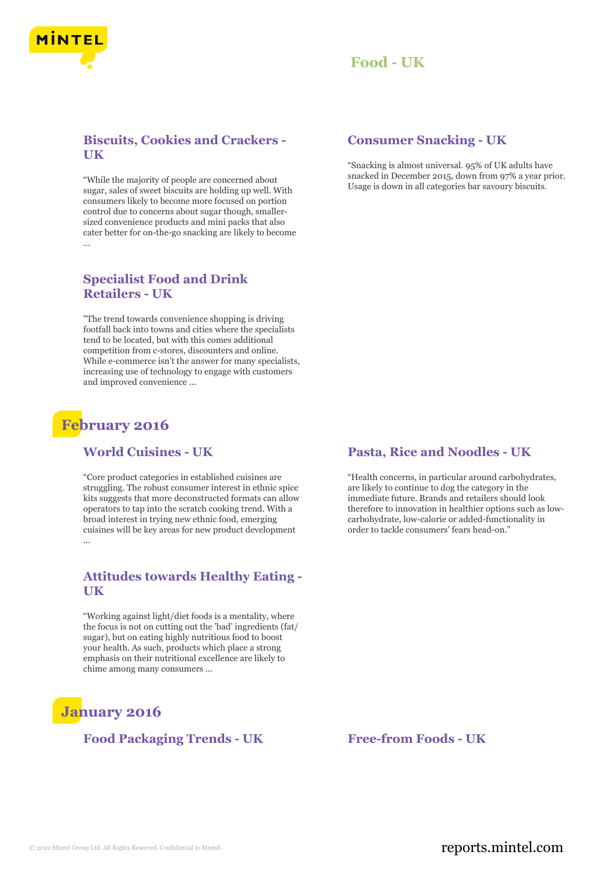

# **Biscuits, Cookies and Crackers - UK**

"While the majority of people are concerned about sugar, sales of sweet biscuits are holding up well. With consumers likely to become more focused on portion control due to concerns about sugar though, smallersized convenience products and mini packs that also cater better for on-the-go snacking are likely to become ...

### **Specialist Food and Drink Retailers - UK**

"The trend towards convenience shopping is driving footfall back into towns and cities where the specialists tend to be located, but with this comes additional competition from c-stores, discounters and online. While e-commerce isn't the answer for many specialists, increasing use of technology to engage with customers and improved convenience ...

# **February 2016**

#### **World Cuisines - UK**

"Core product categories in established cuisines are struggling. The robust consumer interest in ethnic spice kits suggests that more deconstructed formats can allow operators to tap into the scratch cooking trend. With a broad interest in trying new ethnic food, emerging cuisines will be key areas for new product development ...

# **Attitudes towards Healthy Eating - UK**

"Working against light/diet foods is a mentality, where the focus is not on cutting out the 'bad' ingredients (fat/ sugar), but on eating highly nutritious food to boost your health. As such, products which place a strong emphasis on their nutritional excellence are likely to chime among many consumers ...

# **January 2016**

### **Food Packaging Trends - UK Free-from Foods - UK**

# **Consumer Snacking - UK**

"Snacking is almost universal. 95% of UK adults have snacked in December 2015, down from 97% a year prior. Usage is down in all categories bar savoury biscuits.

#### **Pasta, Rice and Noodles - UK**

"Health concerns, in particular around carbohydrates, are likely to continue to dog the category in the immediate future. Brands and retailers should look therefore to innovation in healthier options such as lowcarbohydrate, low-calorie or added-functionality in order to tackle consumers' fears head-on."